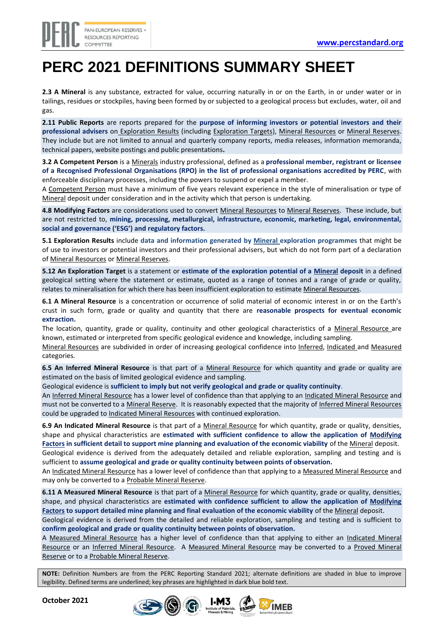## **PERC 2021 DEFINITIONS SUMMARY SHEET**

**2.3 A Mineral** is any substance, extracted for value, occurring naturally in or on the Earth, in or under water or in tailings, residues or stockpiles, having been formed by or subjected to a geological process but excludes, water, oil and gas.

**2.11 Public Reports** are reports prepared for the **purpose of informing investors or potential investors and their professional advisers** on Exploration Results (including Exploration Targets), Mineral Resources or Mineral Reserves. They include but are not limited to annual and quarterly company reports, media releases, information memoranda, technical papers, website postings and public presentations**.**

**3.2 A Competent Person** is a Minerals industry professional, defined as a **professional member, registrant or licensee of a Recognised Professional Organisations (RPO) in the list of professional organisations accredited by PERC**, with enforceable disciplinary processes, including the powers to suspend or expel a member.

A Competent Person must have a minimum of five years relevant experience in the style of mineralisation or type of Mineral deposit under consideration and in the activity which that person is undertaking.

**4.8 Modifying Factors** are considerations used to convert Mineral Resources to Mineral Reserves. These include, but are not restricted to, **mining, processing, metallurgical, infrastructure, economic, marketing, legal, environmental, social and governance ('ESG') and regulatory factors.**

**5.1 Exploration Results** include **data and information generated by Mineral exploration programmes** that might be of use to investors or potential investors and their professional advisers, but which do not form part of a declaration of Mineral Resources or Mineral Reserves.

**5.12 An Exploration Target** is a statement or **estimate of the exploration potential of a Mineral deposit** in a defined geological setting where the statement or estimate, quoted as a range of tonnes and a range of grade or quality, relates to mineralisation for which there has been insufficient exploration to estimate Mineral Resources.

**6.1 A Mineral Resource** is a concentration or occurrence of solid material of economic interest in or on the Earth's crust in such form, grade or quality and quantity that there are **reasonable prospects for eventual economic extraction.** 

The location, quantity, grade or quality, continuity and other geological characteristics of a Mineral Resource are known, estimated or interpreted from specific geological evidence and knowledge, including sampling.

Mineral Resources are subdivided in order of increasing geological confidence into Inferred, Indicated and Measured categories.

**6.5 An Inferred Mineral Resource** is that part of a Mineral Resource for which quantity and grade or quality are estimated on the basis of limited geological evidence and sampling.

Geological evidence is **sufficient to imply but not verify geological and grade or quality continuity**.

An Inferred Mineral Resource has a lower level of confidence than that applying to an Indicated Mineral Resource and must not be converted to a Mineral Reserve. It is reasonably expected that the majority of Inferred Mineral Resources could be upgraded to Indicated Mineral Resources with continued exploration.

**6.9 An Indicated Mineral Resource** is that part of a Mineral Resource for which quantity, grade or quality, densities, shape and physical characteristics are **estimated with sufficient confidence to allow the application of Modifying Factors in sufficient detail to support mine planning and evaluation of the economic viability** of the Mineral deposit. Geological evidence is derived from the adequately detailed and reliable exploration, sampling and testing and is sufficient to **assume geological and grade or quality continuity between points of observation.**

An Indicated Mineral Resource has a lower level of confidence than that applying to a Measured Mineral Resource and may only be converted to a Probable Mineral Reserve.

**6.11 A Measured Mineral Resource** is that part of a Mineral Resource for which quantity, grade or quality, densities, shape, and physical characteristics are **estimated with confidence sufficient to allow the application of Modifying Factors to support detailed mine planning and final evaluation of the economic viability** of the Mineral deposit.

Geological evidence is derived from the detailed and reliable exploration, sampling and testing and is sufficient to **confirm geological and grade or quality continuity between points of observation.** 

A Measured Mineral Resource has a higher level of confidence than that applying to either an Indicated Mineral Resource or an Inferred Mineral Resource. A Measured Mineral Resource may be converted to a Proved Mineral Reserve or to a Probable Mineral Reserve.

**NOTE:** Definition Numbers are from the PERC Reporting Standard 2021; alternate definitions are shaded in blue to improve legibility. Defined terms are underlined; key phrases are highlighted in dark blue bold text.

**October 2021**